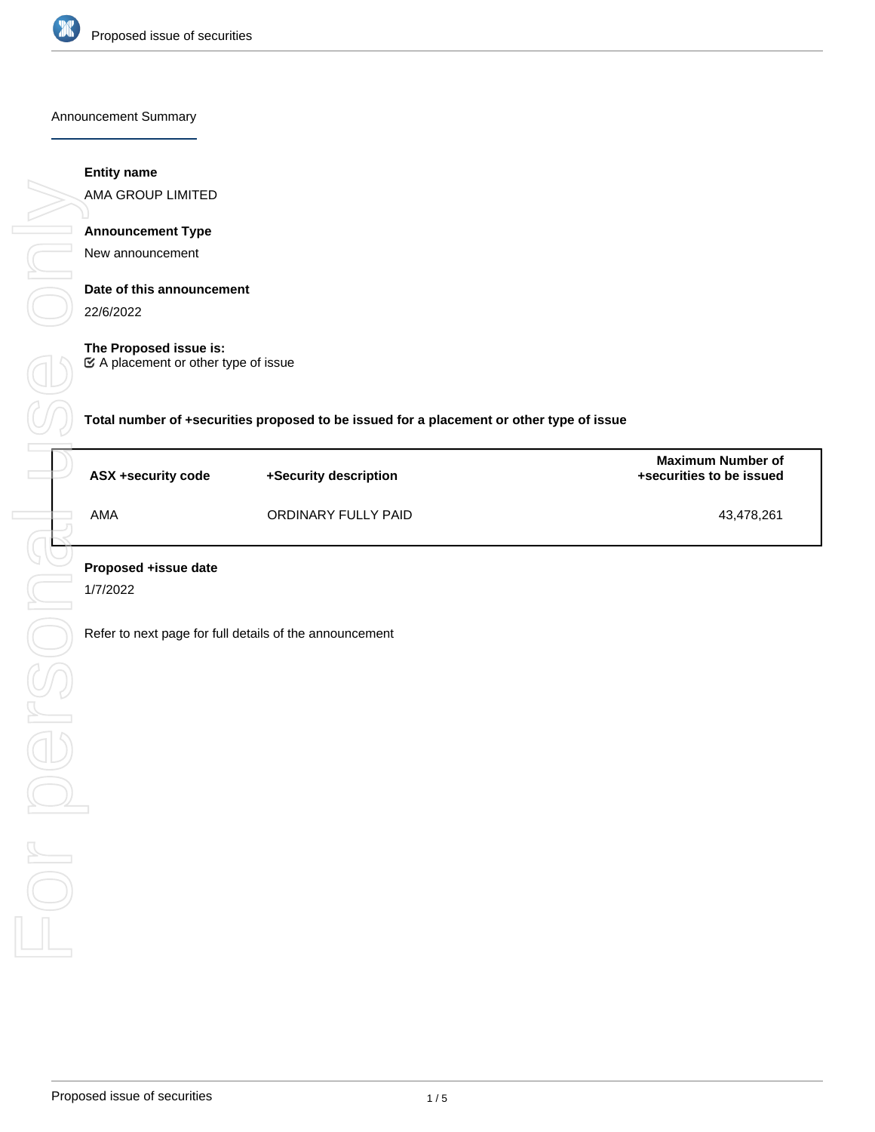

Announcement Summary

## **Entity name**

AMA GROUP LIMITED

# **Announcement Type**

New announcement

## **Date of this announcement**

22/6/2022

### **The Proposed issue is:**

A placement or other type of issue

**Total number of +securities proposed to be issued for a placement or other type of issue**

| ASX +security code | +Security description | <b>Maximum Number of</b><br>+securities to be issued |
|--------------------|-----------------------|------------------------------------------------------|
| AMA                | ORDINARY FULLY PAID   | 43.478.261                                           |

1/7/2022

Refer to next page for full details of the announcement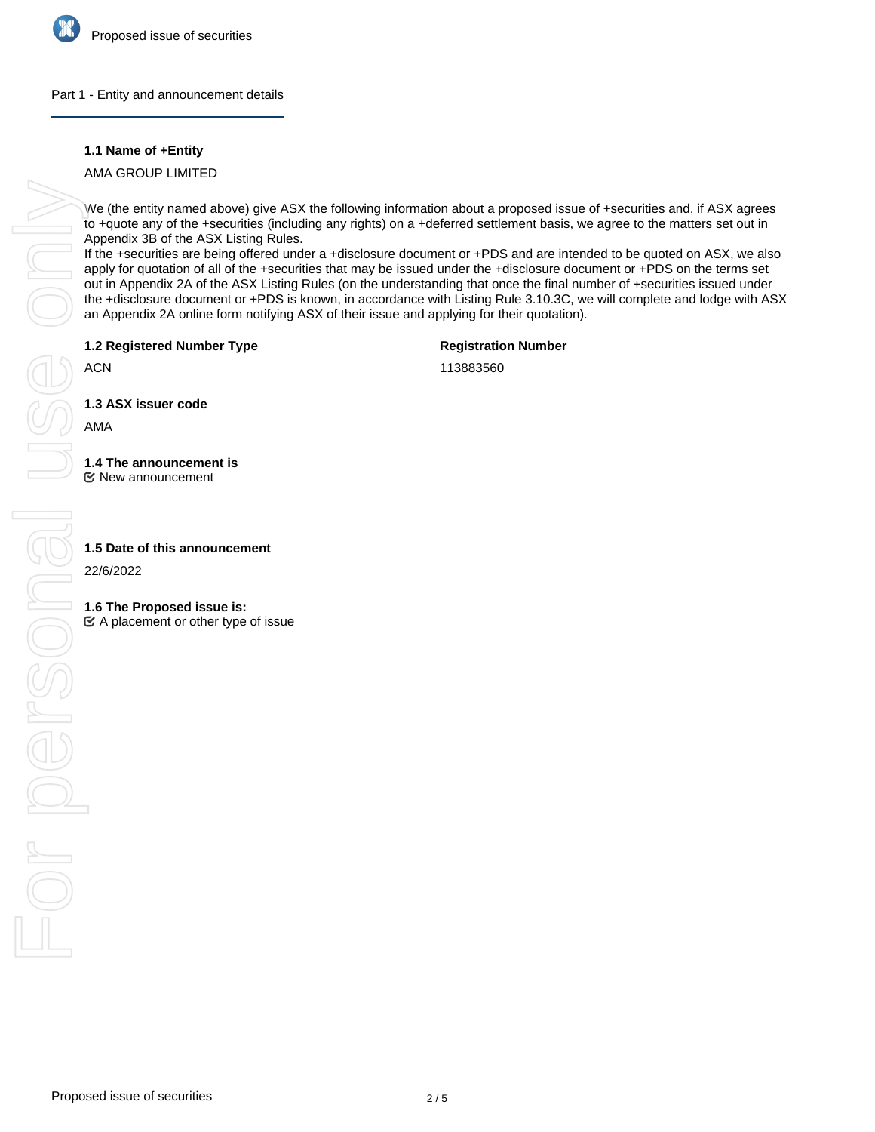

### Part 1 - Entity and announcement details

## **1.1 Name of +Entity**

AMA GROUP LIMITED

We (the entity named above) give ASX the following information about a proposed issue of +securities and, if ASX agrees to +quote any of the +securities (including any rights) on a +deferred settlement basis, we agree to the matters set out in Appendix 3B of the ASX Listing Rules.

If the +securities are being offered under a +disclosure document or +PDS and are intended to be quoted on ASX, we also apply for quotation of all of the +securities that may be issued under the +disclosure document or +PDS on the terms set out in Appendix 2A of the ASX Listing Rules (on the understanding that once the final number of +securities issued under the +disclosure document or +PDS is known, in accordance with Listing Rule 3.10.3C, we will complete and lodge with ASX an Appendix 2A online form notifying ASX of their issue and applying for their quotation).

**1.2 Registered Number Type**

**Registration Number**

ACN

113883560

**1.3 ASX issuer code**

AMA

**1.4 The announcement is**

New announcement

22/6/2022

**1.6 The Proposed issue is:**

 $\mathfrak{C}$  A placement or other type of issue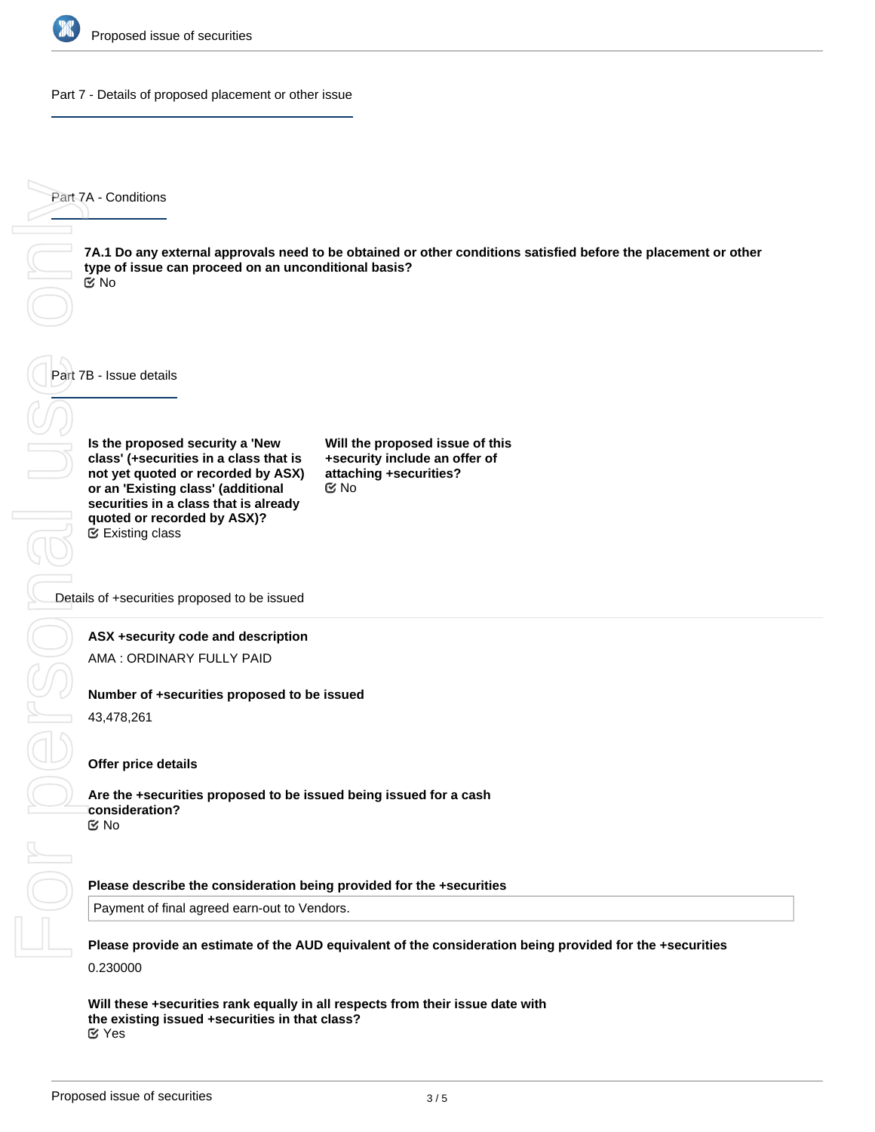

Part 7 - Details of proposed placement or other issue

Part 7A - Conditions

**7A.1 Do any external approvals need to be obtained or other conditions satisfied before the placement or other type of issue can proceed on an unconditional basis?** No

Part 7B - Issue details

**Is the proposed security a 'New class' (+securities in a class that is not yet quoted or recorded by ASX) or an 'Existing class' (additional securities in a class that is already quoted or recorded by ASX)?** Existing class

**Will the proposed issue of this +security include an offer of attaching +securities?** No

Details of +securities proposed to be issued

### **ASX +security code and description**

AMA : ORDINARY FULLY PAID

### **Number of +securities proposed to be issued**

43,478,261

### **Offer price details**

**Are the +securities proposed to be issued being issued for a cash consideration?** No

#### **Please describe the consideration being provided for the +securities**

Payment of final agreed earn-out to Vendors.

**Please provide an estimate of the AUD equivalent of the consideration being provided for the +securities** 0.230000

**Will these +securities rank equally in all respects from their issue date with the existing issued +securities in that class?** Yes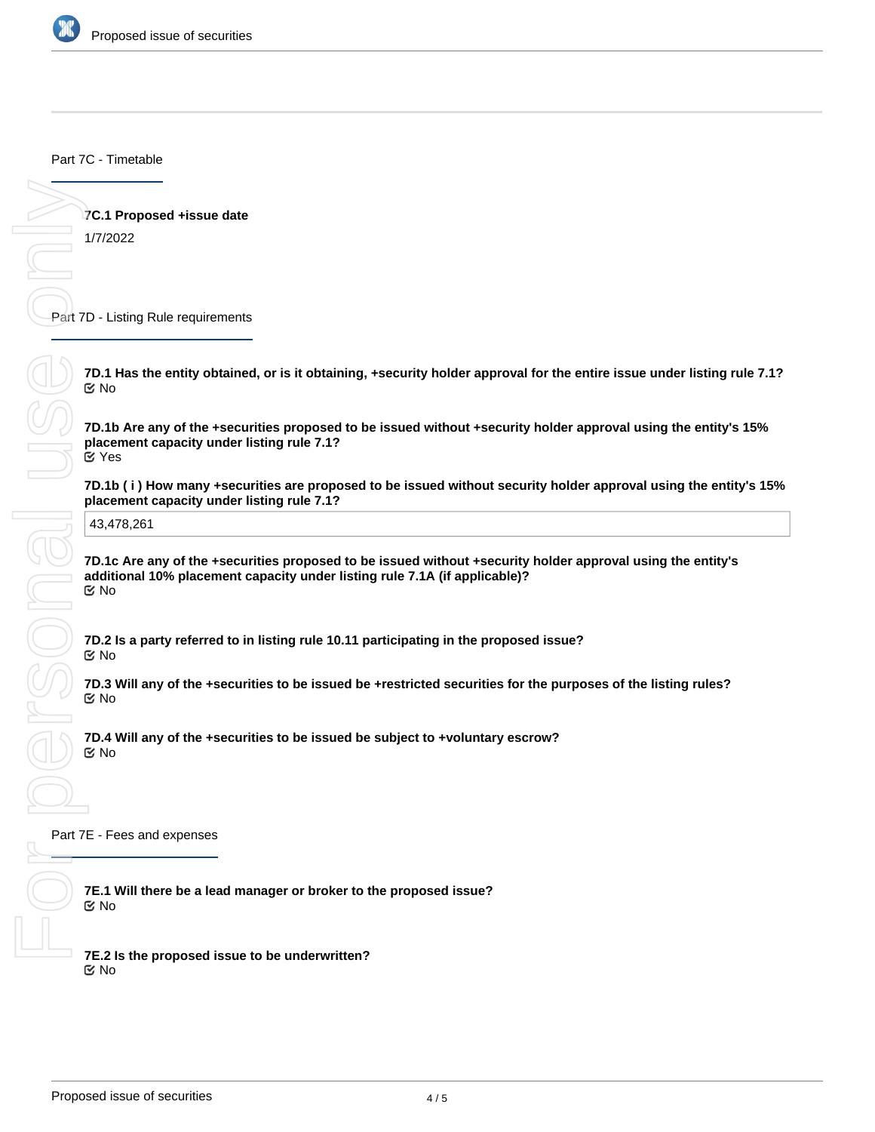

Part 7C - Timetable

**7C.1 Proposed +issue date**

1/7/2022

Part 7D - Listing Rule requirements

**7D.1 Has the entity obtained, or is it obtaining, +security holder approval for the entire issue under listing rule 7.1?** No

**7D.1b Are any of the +securities proposed to be issued without +security holder approval using the entity's 15% placement capacity under listing rule 7.1?** Yes

**placement capacity under listing rule 7.1?**

43,478,261

**7D.1b (i) How many +securities are proposed to be issued without security holder approval using the entity's 15%**<br>placement capacity under listing rule 7.1?<br>43,478,261<br>**7D.1c Are any of the +securities proposed to be issu 7D.1c Are any of the +securities proposed to be issued without +security holder approval using the entity's additional 10% placement capacity under listing rule 7.1A (if applicable)?** No

**7D.2 Is a party referred to in listing rule 10.11 participating in the proposed issue?** No

**7D.3 Will any of the +securities to be issued be +restricted securities for the purposes of the listing rules?** No

**7D.4 Will any of the +securities to be issued be subject to +voluntary escrow?** No

Part 7E - Fees and expenses

**7E.1 Will there be a lead manager or broker to the proposed issue?** No

**7E.2 Is the proposed issue to be underwritten?** No